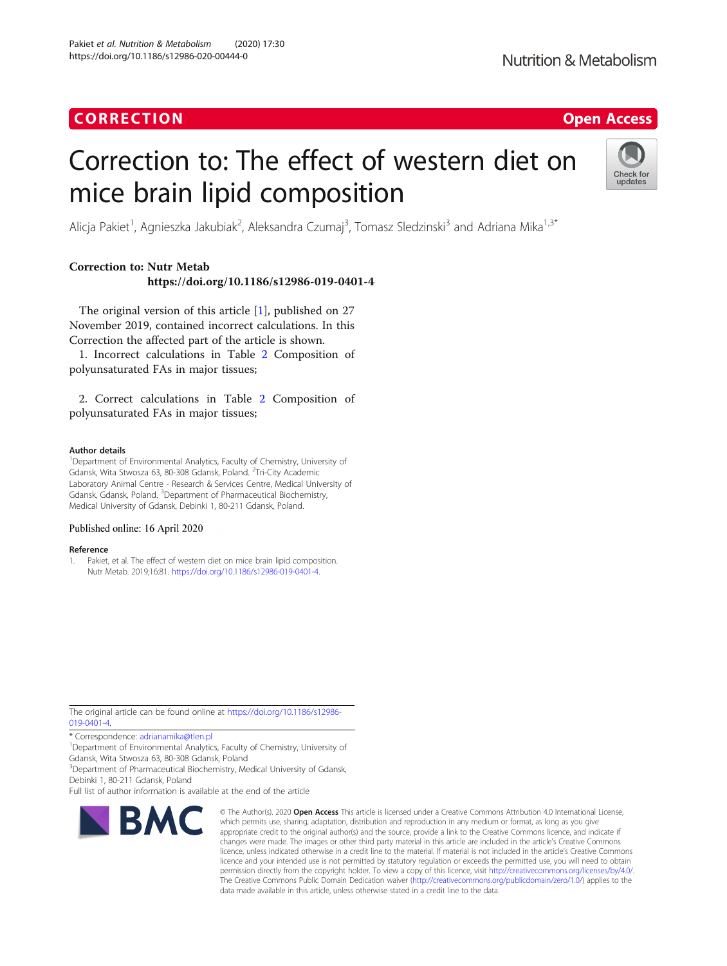## **CORRECTION CORRECTION CORRECTION**

# **Nutrition & Metabolism**

# Correction to: The effect of western diet on mice brain lipid composition



Alicja Pakiet<sup>1</sup>, Agnieszka Jakubiak<sup>2</sup>, Aleksandra Czumaj<sup>3</sup>, Tomasz Sledzinski<sup>3</sup> and Adriana Mika<sup>1,3\*</sup>

### Correction to: Nutr Metab https://doi.org/10.1186/s12986-019-0401-4

The original version of this article [1], published on 27 November 2019, contained incorrect calculations. In this Correction the affected part of the article is shown.

1. Incorrect calculations in Table [2](#page-1-0) Composition of polyunsaturated FAs in major tissues;

2. Correct calculations in Table [2](#page-2-0) Composition of polyunsaturated FAs in major tissues;

#### Author details

<sup>1</sup>Department of Environmental Analytics, Faculty of Chemistry, University of Gdansk, Wita Stwosza 63, 80-308 Gdansk, Poland. <sup>2</sup>Tri-City Academic Laboratory Animal Centre - Research & Services Centre, Medical University of Gdansk, Gdansk, Poland. <sup>3</sup>Department of Pharmaceutical Biochemistry, Medical University of Gdansk, Debinki 1, 80-211 Gdansk, Poland.

#### Published online: 16 April 2020

#### Reference

1. Pakiet, et al. The effect of western diet on mice brain lipid composition. Nutr Metab. 2019;16:81. <https://doi.org/10.1186/s12986-019-0401-4>.

The original article can be found online at [https://doi.org/10.1186/s12986-](https://doi.org/10.1186/s12986-019-0401-4) [019-0401-4.](https://doi.org/10.1186/s12986-019-0401-4)

\* Correspondence: [adrianamika@tlen.pl](mailto:adrianamika@tlen.pl) <sup>1</sup>

<sup>1</sup>Department of Environmental Analytics, Faculty of Chemistry, University of Gdansk, Wita Stwosza 63, 80-308 Gdansk, Poland

<sup>3</sup>Department of Pharmaceutical Biochemistry, Medical University of Gdansk, Debinki 1, 80-211 Gdansk, Poland

Full list of author information is available at the end of the article



© The Author(s), 2020 **Open Access** This article is licensed under a Creative Commons Attribution 4.0 International License, which permits use, sharing, adaptation, distribution and reproduction in any medium or format, as long as you give appropriate credit to the original author(s) and the source, provide a link to the Creative Commons licence, and indicate if changes were made. The images or other third party material in this article are included in the article's Creative Commons licence, unless indicated otherwise in a credit line to the material. If material is not included in the article's Creative Commons licence and your intended use is not permitted by statutory regulation or exceeds the permitted use, you will need to obtain permission directly from the copyright holder. To view a copy of this licence, visit [http://creativecommons.org/licenses/by/4.0/.](http://creativecommons.org/licenses/by/4.0/) The Creative Commons Public Domain Dedication waiver [\(http://creativecommons.org/publicdomain/zero/1.0/](http://creativecommons.org/publicdomain/zero/1.0/)) applies to the data made available in this article, unless otherwise stated in a credit line to the data.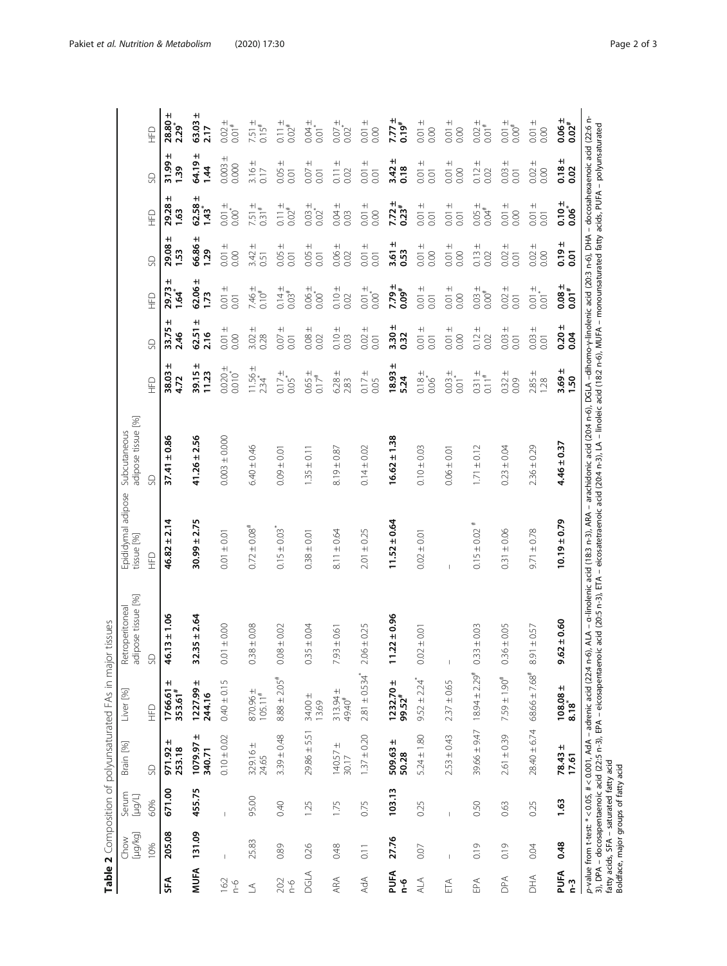<span id="page-1-0"></span>

|                                 | [µg/kg]<br>Chow | Serum<br>[µg/L]                                                                 | Brain [%]                  | Liver [%]                        | ipose tissue [%]<br>Retroperitoneal<br>್ದಾ                                                                                                                                                                                        | Epididymal adipose<br>tissue [%] | adipose tissue [%]<br>Subcutaneous |                                    |                        |                                   |                               |                                              |                                    |                                   |
|---------------------------------|-----------------|---------------------------------------------------------------------------------|----------------------------|----------------------------------|-----------------------------------------------------------------------------------------------------------------------------------------------------------------------------------------------------------------------------------|----------------------------------|------------------------------------|------------------------------------|------------------------|-----------------------------------|-------------------------------|----------------------------------------------|------------------------------------|-----------------------------------|
|                                 | 10%             | 60%                                                                             | S                          | $E_{\pm}$                        | S                                                                                                                                                                                                                                 | $\mathcal{L}$                    | S                                  | $\mathcal{L}$                      | SD                     | 日                                 | SD                            | $\mathop{\underline{\mathbb{H}}}$            | SD                                 | $\mathcal{L}$                     |
| SFA                             | 205.08          | 671.00                                                                          | $971.92 \pm$<br>253.18     | $\pm$<br>1766.61<br>353.61#      | $46.13 \pm 1.06$                                                                                                                                                                                                                  | $46.82 \pm 2.14$                 | $37.41 \pm 0.86$                   | H<br>38.03<br>4.72                 | H<br>33.75<br>2.46     | H<br>29.73<br>-**<br>1.64         | +ı<br>29.08<br><b>1.53</b>    | H<br>29.28<br>$\overline{63}$                | H<br>31.99<br>$\frac{39}{2}$       | $\pm$<br>28.80<br>.<br>229        |
| <b>MUFA</b>                     | 131.09          | 455.75                                                                          | $\pm$<br>1079.97<br>340.71 | $1227.99 \pm$<br>244.16          | $-35 \pm 2.64$<br>55                                                                                                                                                                                                              | $30.99 \pm 2.75$                 | $41.26 \pm 2.56$                   | H<br>39.15<br>11.23                | $\pm$<br>62.51<br>2.16 | H<br>62.06<br>1.73                | $\pm$<br>66.86<br>1.29        | $\pm$<br>62.58<br>្លែ                        | $\pm$<br>64.19<br>1,44             | $63.03 \pm$<br>2.17               |
| 16:2<br>$\frac{\theta}{\Gamma}$ | I               |                                                                                 | $0.10 \pm 0.02$            | $0.40 \pm 0.15$                  | $0.01 + 0.00$                                                                                                                                                                                                                     | $0.01 \pm 0.01$                  | $0.003 + 0.000$                    | $0.020 \pm$<br>0.010               | $0.01 \pm$<br>0.00     | $0.01 \pm$<br>0.01                | $0.01 \pm$<br>0.00            | $0.01 \pm$<br>0.00                           | $\pm$<br>0.003<br>0.000            | $0.02 \pm$<br>$\frac{1}{2}$       |
| $\leq$                          | 25.83           | 95.00                                                                           | $329.16 \pm$<br>24.65      | $870.96 \pm 105.11$              | $86 \pm 0.08$<br>G                                                                                                                                                                                                                | $0.72 \pm 0.08$ <sup>#</sup>     | $6.40 \pm 0.46$                    | $11.56 \pm$<br>$2.34$ <sup>*</sup> | $\pm$<br>3.02<br>0.28  | $7.46 +$<br>0.10 <sup>#</sup>     | $^{+}$<br>3.42<br>0.51        | $7.51 \pm 0.31^{\#}$                         | $3.16 \pm$<br>$0.17$               | $7.51 \pm 0.15$ #                 |
| 20:2<br>$\frac{6}{1}$           | 0.89            | 0.40                                                                            | $3.39 \pm 0.48$            | $8.88 \pm 2.05$ <sup>#</sup>     | $18 \pm 0.02$<br>$\frac{C}{C}$                                                                                                                                                                                                    | $0.15 \pm 0.03$                  | $0.09 \pm 0.01$                    | $0.17 \pm$<br>$0.05$ <sup>*</sup>  | $0.07 \pm$<br>0.01     | $0.14 \pm$<br>$0.03$ <sup>#</sup> | $\pm$<br>0.05<br>0.01         | $0.11 \pm 0.02$                              | $0.05 \pm$<br>0.01                 | $0.11 \pm$<br>$0.02^{#}$          |
| <b>DGLA</b>                     | 0.26            | 1.25                                                                            | $29.86 \pm 5.51$           | 34.00 ±<br>13.69                 | $0.35 \pm 0.04$                                                                                                                                                                                                                   | $0.38 \pm 0.0$                   | $1.35 \pm 0.11$                    | $0.65 \pm 0.017$                   | $0.08 \pm$<br>0.02     | $0.06 + 0.00$                     | $^{+}$<br>0.05<br>0.01        | $0.03 +$<br>0.02                             | $^{+}$<br>0.07<br>0.01             | $0.04 + 0.01$                     |
| ARA                             | 0.48            | 1.75                                                                            | $140.57 \pm$<br>30.17      | $313.94 \pm 49.40^*$             | ±0.61<br>7.93                                                                                                                                                                                                                     | $8.11 \pm 0.64$                  | $8.19 \pm 0.87$                    | $6.28 \pm$<br>2.83                 | $0.10 \pm$<br>0.03     | $0.10 \pm$<br>0.02                | $0.06 \pm$<br>0.02            | $^+$<br>0.04<br>0.03                         | $\pm$<br>$\overline{0.11}$<br>0.02 | $0.07 \pm$<br>$0.02^{*}$          |
| AdA                             | 0.11            | 0.75                                                                            | $1.37 \pm 0.20$            | $2.81 \pm 0.534$ <sup>*</sup>    | $6 + 0.25$<br>$\frac{1}{2}$                                                                                                                                                                                                       | $2.01 \pm 0.25$                  | $0.14 \pm 0.02$                    | $0.17 \pm$<br>0.05                 | $+$<br>0.02<br>0.01    | $0.01 + 0.00$                     | $0.01 \pm$<br>0.01            | $0.01 \pm$<br>0.00                           | $0.01 \pm$<br>0.01                 | $0.01 \pm$<br>0.00                |
| PUFA<br>۹q                      | 27.76           | 103.13                                                                          | 509.63±<br>50.28           | $1232.70 \pm 99.52$ <sup>#</sup> | $22 \pm 0.96$<br>ᄃ                                                                                                                                                                                                                | $11.52 \pm 0.64$                 | $16.62 \pm 1.38$                   | H<br>18.93<br>5.24                 | $3.30 \pm$<br>0.32     | +I<br>$0.09^{*}$<br>7.79          | <sup>+l</sup><br>3.61<br>0.53 | <sup>+l</sup><br>$0.23^{*}$<br>7.72          | $3.42 \pm$<br>0.18                 | $7.77 \pm$<br>$0.19$ <sup>#</sup> |
| ALA                             | 0.07            | 0.25                                                                            | $5.24 \pm 1.80$            | $9.52 \pm 2.24$ <sup>*</sup>     | $0.02 \pm 0.01$                                                                                                                                                                                                                   | $0.02 \pm 0.01$                  | $0.10 \pm 0.03$                    | $0.18 + 0.06$                      | $0.01 \pm$<br>0.01     | $0.01 \pm$<br>0.01                | $0.01 \pm$<br>0.00            | $0.01 + 0.01$                                | $0.01 + 0.01$                      | $0.01 \pm$<br>0.00                |
| ETA                             |                 |                                                                                 | $2.53 \pm 0.43$            | $2.37 \pm 0.65$                  | $\mathsf I$                                                                                                                                                                                                                       |                                  | $0.06 \pm 0.01$                    | $0.03 + 0.01$                      | $\pm$<br>0.00<br>0.01  | $0.01 \pm$<br>0.00                | $0.01 \pm$<br>0.00            | $^+$<br>$\overline{0.01}$<br>0.01            | $0.01 \pm$<br>0.00                 | $0.01 \pm$<br>0.00                |
| EPA                             | 0.19            | 0.50                                                                            | $39.66 \pm 9.47$           | $18.94 \pm 2.29$ <sup>#</sup>    | ±0.03<br>0.33                                                                                                                                                                                                                     | #<br>$0.15 \pm 0.02$             | $1.71 \pm 0.12$                    | $0.31 +$<br>0.11#                  | $0.12 \pm$<br>0.02     | $0.03 \pm$<br>$0.00^{#}$          | $\pm$<br>0.13<br>0.02         | $\begin{array}{c}\n+200 \\ +20\n\end{array}$ | $0.12 \pm$<br>0.02                 | $0.02 \pm$<br>$0.01$ <sup>#</sup> |
| DPA                             | 0.19            | 0.63                                                                            | $2.61 \pm 0.39$            | $7.59 \pm 1.90^{\text{*}}$       | $36 \pm 0.05$<br>ී                                                                                                                                                                                                                | $0.31 + 0.06$                    | $0.23 \pm 0.04$                    | $0.32 \pm$<br>0.09                 | $^{+}$<br>0.03<br>0.01 | $0.02 \pm$<br>0.01                | $^{+}$<br>0.02<br>0.01        | $^+$<br>0.01<br>0.00                         | $0.03 \pm$<br>0.01                 | $0.01 \pm$<br>$0.00^{\text{#}}$   |
| <b>AHQ</b>                      | 0.04            | 0.25                                                                            | $28.40 \pm 6.74$           | $68.66 \pm 7.68$ <sup>#</sup>    | $8.91 \pm 0.57$                                                                                                                                                                                                                   | $9.71 \pm 0.78$                  | $2.36 \pm 0.29$                    | $2.85 \pm$<br>1.28                 | $0.03 \pm$<br>0.01     | $0.01 \pm$<br>$\overline{5}$      | $0.02 \pm$<br>0.00            | $0.01 \pm$<br>0.01                           | $0.02 \pm$<br>0.00                 | $0.01 \pm$<br>0.00                |
| PUFA<br>$\frac{3}{2}$           | 0.48            | 1.63                                                                            | $78.43 \pm$<br>17.61       | $108.08 \pm$<br>8.18             | 10.60<br>9.62                                                                                                                                                                                                                     | $10.19 \pm 0.79$                 | $4.46 \pm 0.37$                    | +I<br>3.69<br>1.50                 | $0.20 \pm$<br>0.04     | $3^{+1000}$                       | +I<br>0.19<br>5g              | $0.06^{*}_{-0.06}$                           | $0.18 \pm$<br>0.02                 | $0.06 +$<br>$0.02$                |
|                                 |                 | fatty acids, SFA - saturated fatty acid<br>Boldface, major groups of fatty acid |                            |                                  | p-value from t-test: *<0.005, #<0.001, AdA – adrenic acid (22:4 n-6), ALA – α-linolenic acid (18:3 n-3), ARA – arachidonic acid (20:4 n-6), DGLA –dinolenic acid (20:3 n-6), DHA – docosahexaenoic acid (22:6 n-<br>3), DPA – doc |                                  |                                    |                                    |                        |                                   |                               |                                              |                                    |                                   |

Table 2 Composition of polyunsaturated FAs in major tissues **Table 2** Composition of polyunsaturated FAs in major tissues